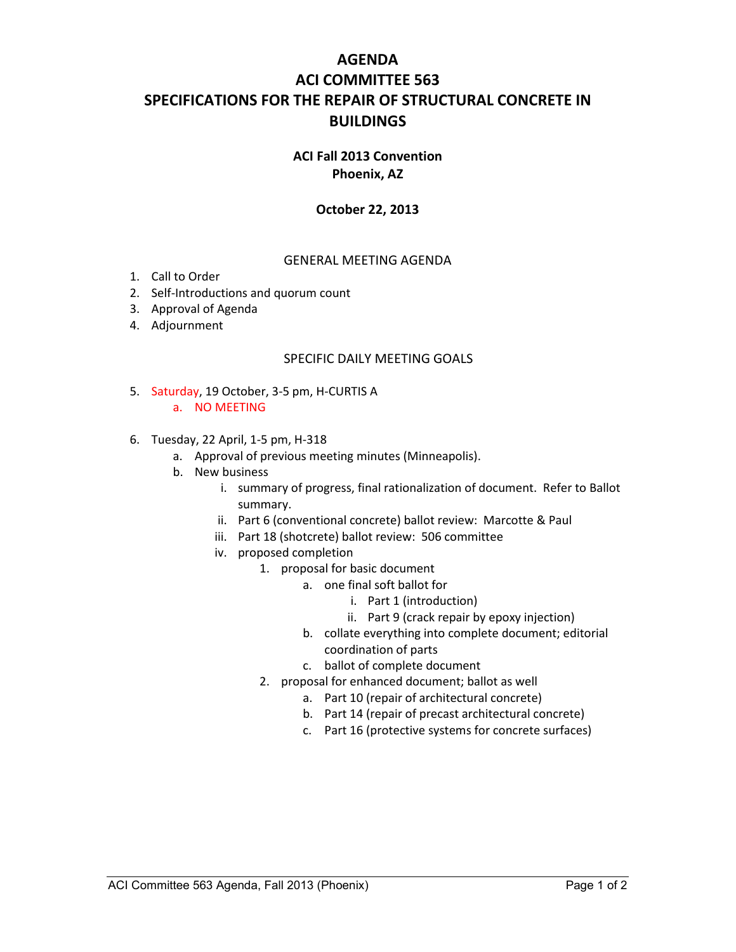# **AGENDA ACI COMMITTEE 563 SPECIFICATIONS FOR THE REPAIR OF STRUCTURAL CONCRETE IN BUILDINGS**

#### **ACI Fall 2013 Convention Phoenix, AZ**

### **October 22, 2013**

#### GENERAL MEETING AGENDA

- 1. Call to Order
- 2. Self-Introductions and quorum count
- 3. Approval of Agenda
- 4. Adjournment

#### SPECIFIC DAILY MEETING GOALS

- 5. Saturday, 19 October, 3-5 pm, H-CURTIS A a. NO MEETING
- 6. Tuesday, 22 April, 1-5 pm, H-318
	- a. Approval of previous meeting minutes (Minneapolis).
	- b. New business
		- i. summary of progress, final rationalization of document. Refer to Ballot summary.
		- ii. Part 6 (conventional concrete) ballot review: Marcotte & Paul
		- iii. Part 18 (shotcrete) ballot review: 506 committee
		- iv. proposed completion
			- 1. proposal for basic document
				- a. one final soft ballot for
					- i. Part 1 (introduction)
					- ii. Part 9 (crack repair by epoxy injection)
				- b. collate everything into complete document; editorial coordination of parts
				- c. ballot of complete document
			- 2. proposal for enhanced document; ballot as well
				- a. Part 10 (repair of architectural concrete)
				- b. Part 14 (repair of precast architectural concrete)
				- c. Part 16 (protective systems for concrete surfaces)